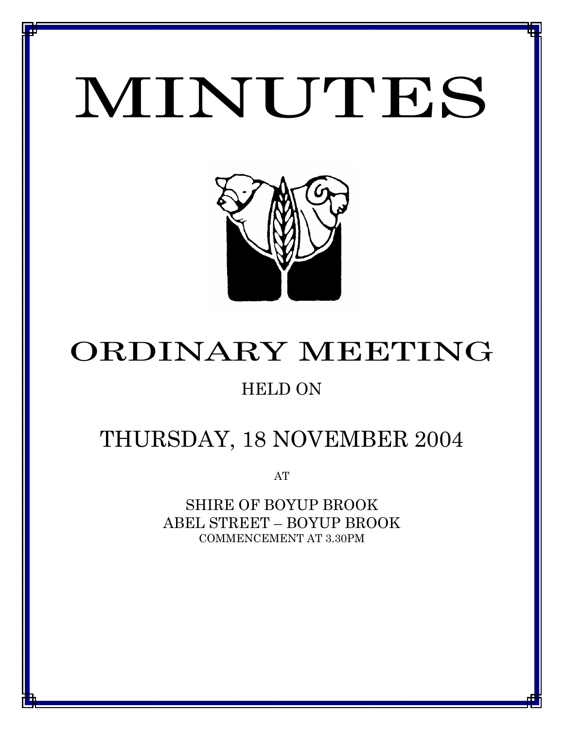# MINUTES

*MINUTES OF THE ORDINARY MEETING OF COUNCIL HELD ON 21 OCTOBER 2004*



# ORDINARY MEETING

# HELD ON

# THURSDAY, 18 NOVEMBER 2004

AT

SHIRE OF BOYUP BROOK ABEL STREET – BOYUP BROOK COMMENCEMENT AT 3.30PM

<u>1 - Johann Johann Barbara, martxa a shekara 19</u>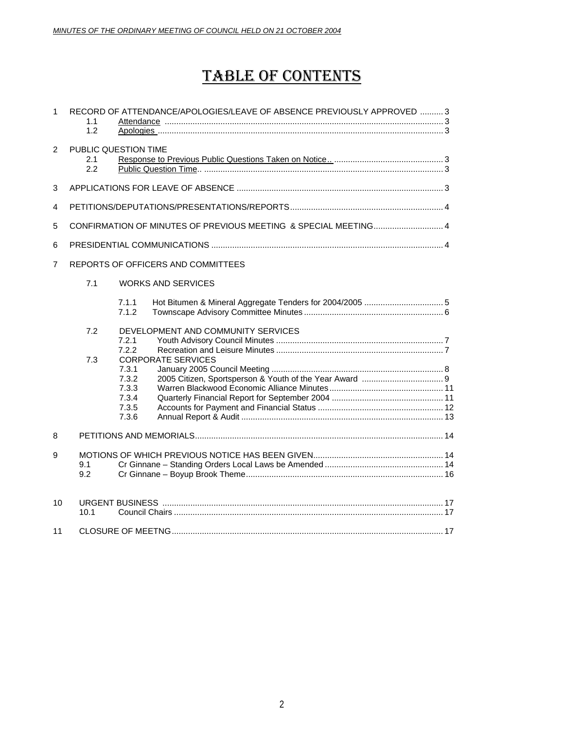# TABLE OF CONTENTS

| $\mathbf{1}$   | 1.1<br>1.2 | RECORD OF ATTENDANCE/APOLOGIES/LEAVE OF ABSENCE PREVIOUSLY APPROVED  3            |  |
|----------------|------------|-----------------------------------------------------------------------------------|--|
| 2              | 2.1<br>2.2 | PUBLIC QUESTION TIME                                                              |  |
| 3              |            |                                                                                   |  |
| 4              |            |                                                                                   |  |
| 5              |            |                                                                                   |  |
| 6              |            |                                                                                   |  |
| $\overline{7}$ |            | REPORTS OF OFFICERS AND COMMITTEES                                                |  |
|                | 7.1        | <b>WORKS AND SERVICES</b>                                                         |  |
|                |            | 7.1.1<br>7.1.2                                                                    |  |
|                | 7.2<br>7.3 | DEVELOPMENT AND COMMUNITY SERVICES<br>7.2.1<br>7.2.2<br><b>CORPORATE SERVICES</b> |  |
|                |            | 7.3.1<br>7.3.2<br>7.3.3<br>7.3.4<br>7.3.5<br>7.3.6                                |  |
| 8              |            |                                                                                   |  |
| 9              | 9.1<br>9.2 |                                                                                   |  |
| 10             | 10.1       |                                                                                   |  |
| 11             |            |                                                                                   |  |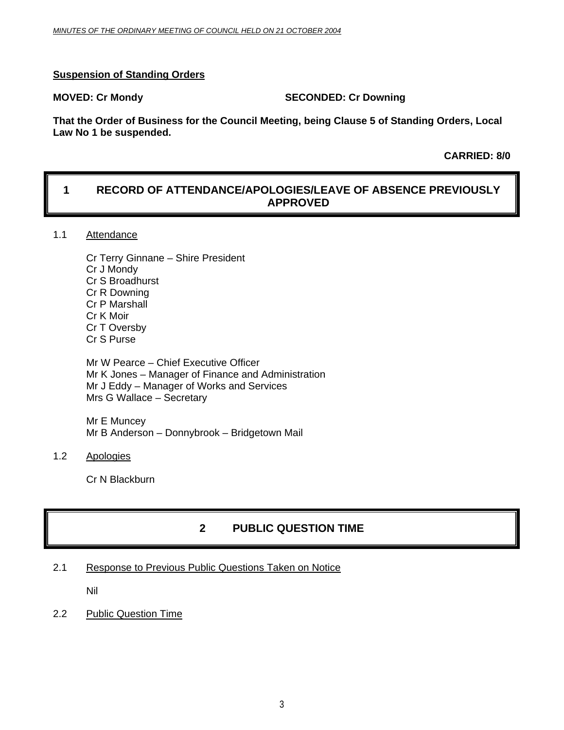#### **Suspension of Standing Orders**

#### **MOVED: Cr Mondy SECONDED: Cr Downing**

**That the Order of Business for the Council Meeting, being Clause 5 of Standing Orders, Local Law No 1 be suspended.** 

 **CARRIED: 8/0** 

### **1 RECORD OF ATTENDANCE/APOLOGIES/LEAVE OF ABSENCE PREVIOUSLY APPROVED**

#### 1.1 Attendance

Cr Terry Ginnane – Shire President Cr J Mondy Cr S Broadhurst Cr R Downing Cr P Marshall Cr K Moir Cr T Oversby Cr S Purse

Mr W Pearce – Chief Executive Officer Mr K Jones – Manager of Finance and Administration Mr J Eddy – Manager of Works and Services Mrs G Wallace – Secretary

Mr E Muncey Mr B Anderson – Donnybrook – Bridgetown Mail

1.2 Apologies

Cr N Blackburn

### **2 PUBLIC QUESTION TIME**

2.1 Response to Previous Public Questions Taken on Notice

Nil

2.2 Public Question Time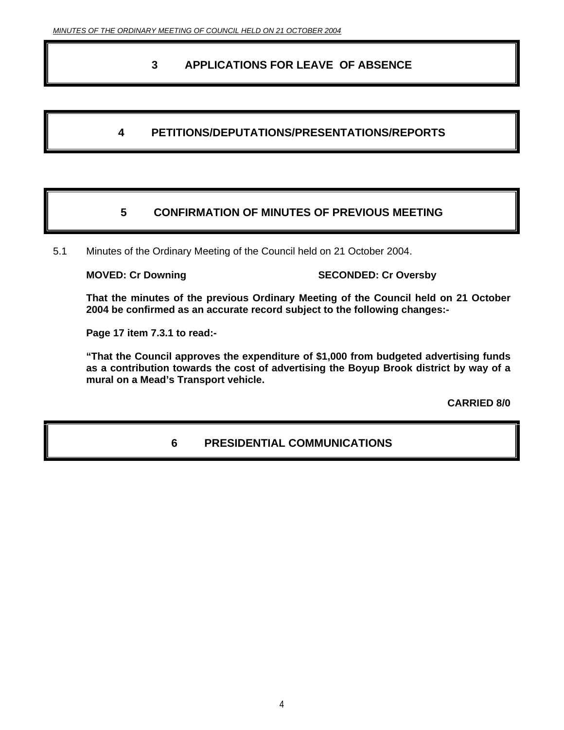### **3 APPLICATIONS FOR LEAVE OF ABSENCE**

### **4 PETITIONS/DEPUTATIONS/PRESENTATIONS/REPORTS**

### **5 CONFIRMATION OF MINUTES OF PREVIOUS MEETING**

5.1 Minutes of the Ordinary Meeting of the Council held on 21 October 2004.

**MOVED: Cr Downing SECONDED: Cr Oversby** 

**That the minutes of the previous Ordinary Meeting of the Council held on 21 October 2004 be confirmed as an accurate record subject to the following changes:-** 

**Page 17 item 7.3.1 to read:-** 

**"That the Council approves the expenditure of \$1,000 from budgeted advertising funds as a contribution towards the cost of advertising the Boyup Brook district by way of a mural on a Mead's Transport vehicle.** 

**CARRIED 8/0** 

### **6 PRESIDENTIAL COMMUNICATIONS**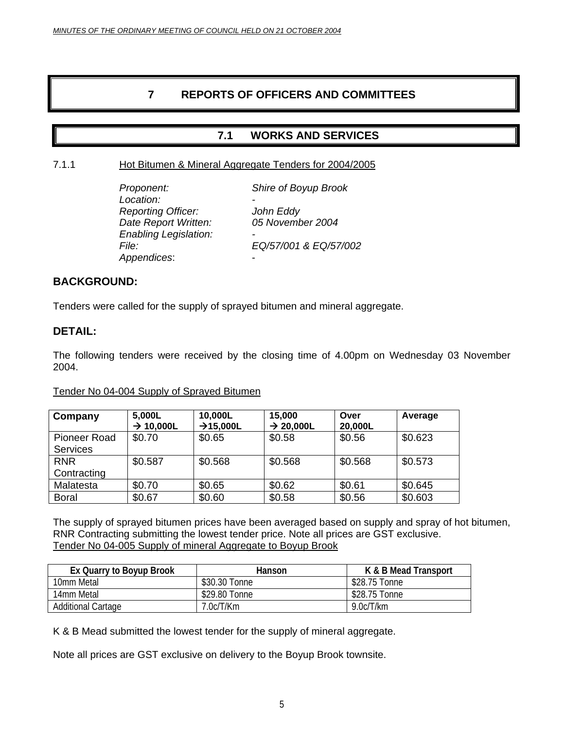### **7 REPORTS OF OFFICERS AND COMMITTEES**

### **7.1 WORKS AND SERVICES**

#### 7.1.1 Hot Bitumen & Mineral Aggregate Tenders for 2004/2005

| Proponent:                   | Shire of Boyup Brook  |
|------------------------------|-----------------------|
| Location:                    |                       |
| <b>Reporting Officer:</b>    | John Eddy             |
| Date Report Written:         | 05 November 2004      |
| <b>Enabling Legislation:</b> | -                     |
| File:                        | EQ/57/001 & EQ/57/002 |
| Appendices:                  | -                     |
|                              |                       |

#### **BACKGROUND:**

Tenders were called for the supply of sprayed bitumen and mineral aggregate.

#### **DETAIL:**

The following tenders were received by the closing time of 4.00pm on Wednesday 03 November 2004.

#### Tender No 04-004 Supply of Sprayed Bitumen

| Company         | 5,000L<br>$\rightarrow$ 10,000L | 10,000L<br>$\rightarrow$ 15,000L | 15,000<br>$\rightarrow$ 20,000L | Over<br>20,000L | Average |
|-----------------|---------------------------------|----------------------------------|---------------------------------|-----------------|---------|
| Pioneer Road    | \$0.70                          | \$0.65                           | \$0.58                          | \$0.56          | \$0.623 |
| <b>Services</b> |                                 |                                  |                                 |                 |         |
| <b>RNR</b>      | \$0.587                         | \$0.568                          | \$0.568                         | \$0.568         | \$0.573 |
| Contracting     |                                 |                                  |                                 |                 |         |
| Malatesta       | \$0.70                          | \$0.65                           | \$0.62                          | \$0.61          | \$0.645 |
| <b>Boral</b>    | \$0.67                          | \$0.60                           | \$0.58                          | \$0.56          | \$0.603 |

The supply of sprayed bitumen prices have been averaged based on supply and spray of hot bitumen, RNR Contracting submitting the lowest tender price. Note all prices are GST exclusive. Tender No 04-005 Supply of mineral Aggregate to Boyup Brook

| Ex Quarry to Boyup Brook | Hanson        | K & B Mead Transport |  |
|--------------------------|---------------|----------------------|--|
| 10mm Metal               | \$30.30 Tonne | \$28.75 Tonne        |  |
| 14mm Metal               | \$29.80 Tonne | \$28.75 Tonne        |  |
| Additional Cartage       | 7.0c/T/Km     | 9.0c/T/km            |  |

K & B Mead submitted the lowest tender for the supply of mineral aggregate.

Note all prices are GST exclusive on delivery to the Boyup Brook townsite.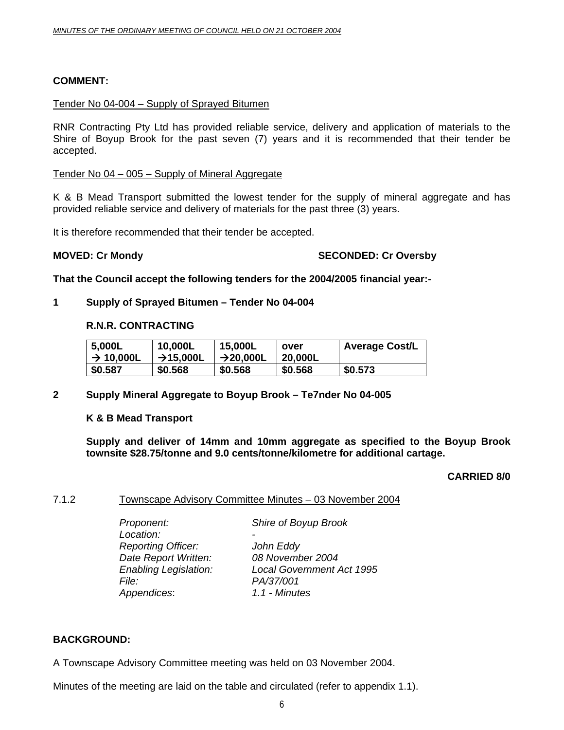#### **COMMENT:**

#### Tender No 04-004 – Supply of Sprayed Bitumen

RNR Contracting Pty Ltd has provided reliable service, delivery and application of materials to the Shire of Boyup Brook for the past seven (7) years and it is recommended that their tender be accepted.

#### Tender No 04 – 005 – Supply of Mineral Aggregate

K & B Mead Transport submitted the lowest tender for the supply of mineral aggregate and has provided reliable service and delivery of materials for the past three (3) years.

It is therefore recommended that their tender be accepted.

#### **MOVED: Cr Mondy SECONDED: Cr Oversby**

**That the Council accept the following tenders for the 2004/2005 financial year:-** 

#### **1 Supply of Sprayed Bitumen – Tender No 04-004**

#### **R.N.R. CONTRACTING**

| 5,000L                | 10,000L               | 15,000L               | over    | <b>Average Cost/L</b> |
|-----------------------|-----------------------|-----------------------|---------|-----------------------|
| $\rightarrow$ 10,000L | $\rightarrow$ 15,000L | $\rightarrow$ 20,000L | 20,000L |                       |
| \$0.587               | \$0.568               | \$0.568               | \$0.568 | \$0.573               |

#### **2 Supply Mineral Aggregate to Boyup Brook – Te7nder No 04-005**

#### **K & B Mead Transport**

**Supply and deliver of 14mm and 10mm aggregate as specified to the Boyup Brook townsite \$28.75/tonne and 9.0 cents/tonne/kilometre for additional cartage.** 

#### **CARRIED 8/0**

#### 7.1.2 Townscape Advisory Committee Minutes – 03 November 2004

Location:  *Reporting Officer: John Eddy Date Report Written: 08 November 2004 File: PA/37/001 Appendices*: *1.1 - Minutes* 

*Proponent: Shire of Boyup Brook* 

 *Enabling Legislation: Local Government Act 1995* 

#### **BACKGROUND:**

A Townscape Advisory Committee meeting was held on 03 November 2004.

Minutes of the meeting are laid on the table and circulated (refer to appendix 1.1).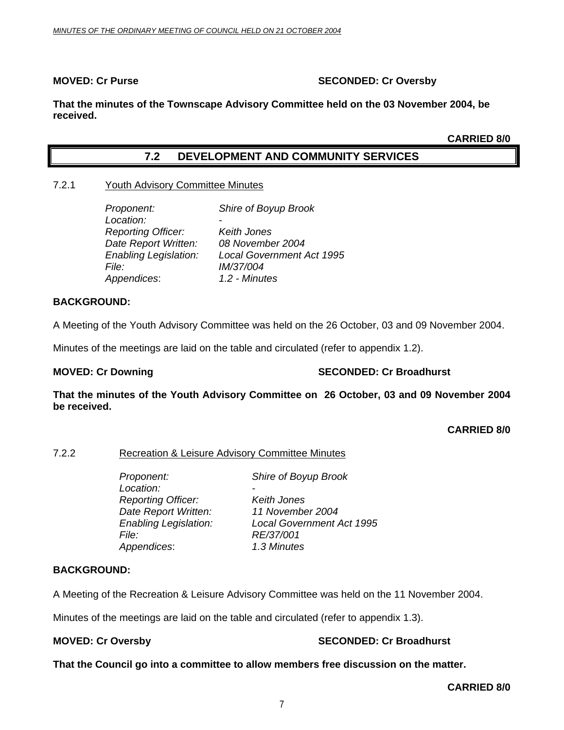#### **MOVED: Cr Purse SECONDED: Cr Oversby**

**That the minutes of the Townscape Advisory Committee held on the 03 November 2004, be received.** 

**CARRIED 8/0** 

#### **7.2 DEVELOPMENT AND COMMUNITY SERVICES**

#### 7.2.1 Youth Advisory Committee Minutes

| Proponent:                   | Shire of Boyup Brook             |
|------------------------------|----------------------------------|
| Location:                    |                                  |
| <b>Reporting Officer:</b>    | Keith Jones                      |
| Date Report Written:         | 08 November 2004                 |
| <b>Enabling Legislation:</b> | <b>Local Government Act 1995</b> |
| <i>File:</i>                 | IM/37/004                        |
| Appendices:                  | 1.2 - Minutes                    |

#### **BACKGROUND:**

A Meeting of the Youth Advisory Committee was held on the 26 October, 03 and 09 November 2004.

Minutes of the meetings are laid on the table and circulated (refer to appendix 1.2).

#### **MOVED: Cr Downing Case 2018 10:00 SECONDED: Cr Broadhurst**

**That the minutes of the Youth Advisory Committee on 26 October, 03 and 09 November 2004 be received.** 

**CARRIED 8/0** 

#### 7.2.2 Recreation & Leisure Advisory Committee Minutes

 *Proponent: Shire of Boyup Brook*  Location:  *Reporting Officer: Keith Jones Date Report Written: 11 November 2004 Enabling Legislation: Local Government Act 1995 File: RE/37/001 Appendices*: *1.3 Minutes*

#### **BACKGROUND:**

A Meeting of the Recreation & Leisure Advisory Committee was held on the 11 November 2004.

Minutes of the meetings are laid on the table and circulated (refer to appendix 1.3).

#### **MOVED: Cr Oversby SECONDED: Cr Broadhurst**

**That the Council go into a committee to allow members free discussion on the matter.**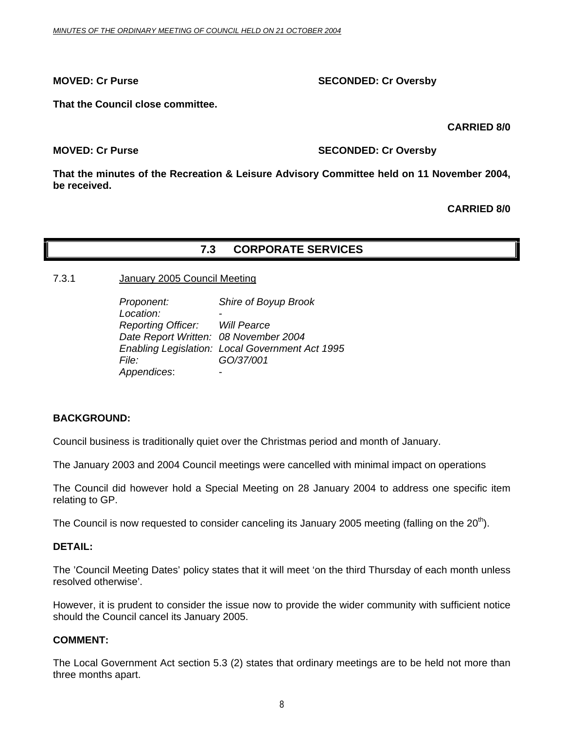#### **MOVED: Cr Purse SECONDED: Cr Oversby**

**That the Council close committee.** 

 **CARRIED 8/0** 

**MOVED: Cr Purse SECONDED: Cr Oversby** 

**That the minutes of the Recreation & Leisure Advisory Committee held on 11 November 2004, be received.** 

**CARRIED 8/0** 

#### **7.3 CORPORATE SERVICES**

#### 7.3.1 January 2005 Council Meeting

| Proponent:                            | Shire of Boyup Brook                            |
|---------------------------------------|-------------------------------------------------|
| Location:                             |                                                 |
| <b>Reporting Officer:</b> Will Pearce |                                                 |
|                                       | Date Report Written: 08 November 2004           |
|                                       | Enabling Legislation: Local Government Act 1995 |
| File:                                 | GO/37/001                                       |
| Appendices:                           |                                                 |

#### **BACKGROUND:**

Council business is traditionally quiet over the Christmas period and month of January.

The January 2003 and 2004 Council meetings were cancelled with minimal impact on operations

The Council did however hold a Special Meeting on 28 January 2004 to address one specific item relating to GP.

The Council is now requested to consider canceling its January 2005 meeting (falling on the  $20<sup>th</sup>$ ).

#### **DETAIL:**

The 'Council Meeting Dates' policy states that it will meet 'on the third Thursday of each month unless resolved otherwise'.

However, it is prudent to consider the issue now to provide the wider community with sufficient notice should the Council cancel its January 2005.

#### **COMMENT:**

The Local Government Act section 5.3 (2) states that ordinary meetings are to be held not more than three months apart.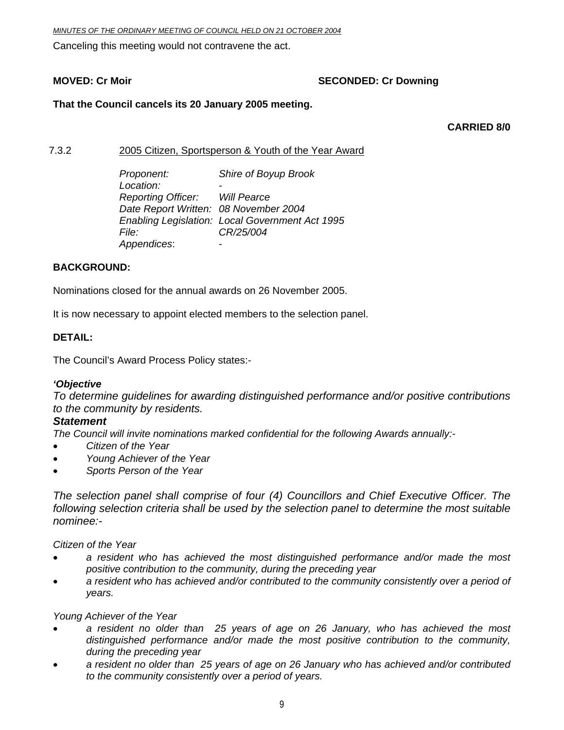Canceling this meeting would not contravene the act.

### **MOVED: Cr Moir MOVED: Cr Downing**

#### **That the Council cancels its 20 January 2005 meeting.**

 **CARRIED 8/0** 

7.3.2 2005 Citizen, Sportsperson & Youth of the Year Award

 *Proponent: Shire of Boyup Brook*  Location:  *Reporting Officer: Will Pearce Date Report Written: 08 November 2004 Enabling Legislation: Local Government Act 1995 File: CR/25/004 Appendices*: -

#### **BACKGROUND:**

Nominations closed for the annual awards on 26 November 2005.

It is now necessary to appoint elected members to the selection panel.

#### **DETAIL:**

The Council's Award Process Policy states:-

#### *'Objective*

*To determine guidelines for awarding distinguished performance and/or positive contributions to the community by residents.* 

#### *Statement*

*The Council will invite nominations marked confidential for the following Awards annually:-* 

- *Citizen of the Year*
- *Young Achiever of the Year*
- *Sports Person of the Year*

*The selection panel shall comprise of four (4) Councillors and Chief Executive Officer. The following selection criteria shall be used by the selection panel to determine the most suitable nominee:-* 

*Citizen of the Year* 

- *a resident who has achieved the most distinguished performance and/or made the most positive contribution to the community, during the preceding year*
- *a resident who has achieved and/or contributed to the community consistently over a period of years.*

*Young Achiever of the Year* 

- *a resident no older than 25 years of age on 26 January, who has achieved the most distinguished performance and/or made the most positive contribution to the community, during the preceding year*
- *a resident no older than 25 years of age on 26 January who has achieved and/or contributed to the community consistently over a period of years.*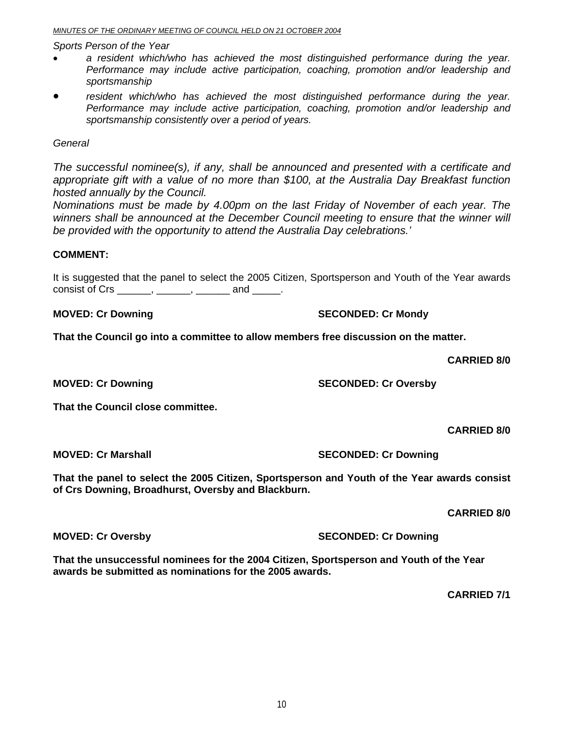#### *MINUTES OF THE ORDINARY MEETING OF COUNCIL HELD ON 21 OCTOBER 2004*

*Sports Person of the Year* 

- *a resident which/who has achieved the most distinguished performance during the year. Performance may include active participation, coaching, promotion and/or leadership and sportsmanship*
- resident which/who has achieved the most distinguished performance during the year. *Performance may include active participation, coaching, promotion and/or leadership and sportsmanship consistently over a period of years.*

#### *General*

*The successful nominee(s), if any, shall be announced and presented with a certificate and appropriate gift with a value of no more than \$100, at the Australia Day Breakfast function hosted annually by the Council.* 

*Nominations must be made by 4.00pm on the last Friday of November of each year. The winners shall be announced at the December Council meeting to ensure that the winner will be provided with the opportunity to attend the Australia Day celebrations.'* 

#### **COMMENT:**

It is suggested that the panel to select the 2005 Citizen, Sportsperson and Youth of the Year awards consist of Crs  $\frac{1}{\sqrt{2}}$  and  $\frac{1}{\sqrt{2}}$ .

**MOVED: Cr Downing Case 2018 10 SECONDED: Cr Mondy SECONDED: Cr Mondy** 

**That the Council go into a committee to allow members free discussion on the matter.** 

 **CARRIED 8/0** 

**MOVED: Cr Downing Case Conduct Act Act SECONDED: Cr Oversby** 

**That the Council close committee.** 

 **CARRIED 8/0** 

**That the panel to select the 2005 Citizen, Sportsperson and Youth of the Year awards consist of Crs Downing, Broadhurst, Oversby and Blackburn.** 

 **CARRIED 8/0** 

**MOVED: Cr Oversby SECONDED: Cr Downing 1999** 

**That the unsuccessful nominees for the 2004 Citizen, Sportsperson and Youth of the Year awards be submitted as nominations for the 2005 awards.** 

 **CARRIED 7/1** 

**MOVED: Cr Marshall SECONDED: Cr Downing COVED: Cr Downing 1999**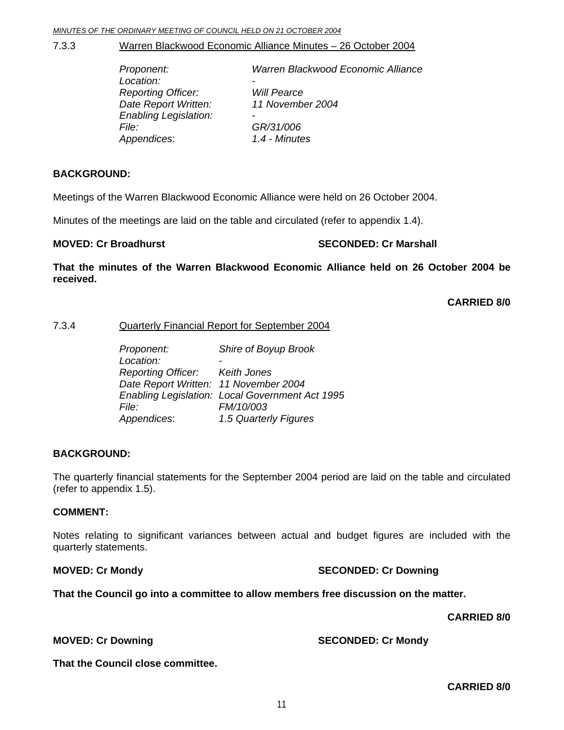#### 7.3.3 Warren Blackwood Economic Alliance Minutes – 26 October 2004

| Proponent:                   | Warren Blackwood Economic Alliance |
|------------------------------|------------------------------------|
| Location:                    | $\overline{\phantom{0}}$           |
| <b>Reporting Officer:</b>    | <b>Will Pearce</b>                 |
| Date Report Written:         | 11 November 2004                   |
| <b>Enabling Legislation:</b> | -                                  |
| <i>File:</i>                 | GR/31/006                          |
| Appendices:                  | 1.4 - Minutes                      |
|                              |                                    |

#### **BACKGROUND:**

Meetings of the Warren Blackwood Economic Alliance were held on 26 October 2004.

Minutes of the meetings are laid on the table and circulated (refer to appendix 1.4).

#### **MOVED: Cr Broadhurst SECONDED: Cr Marshall**

**That the minutes of the Warren Blackwood Economic Alliance held on 26 October 2004 be received.** 

**CARRIED 8/0** 

#### 7.3.4 Quarterly Financial Report for September 2004

| Proponent:                            | Shire of Boyup Brook                            |
|---------------------------------------|-------------------------------------------------|
| Location:                             |                                                 |
| Reporting Officer: Keith Jones        |                                                 |
| Date Report Written: 11 November 2004 |                                                 |
|                                       | Enabling Legislation: Local Government Act 1995 |
| File:                                 | FM/10/003                                       |
| Appendices:                           | 1.5 Quarterly Figures                           |

#### **BACKGROUND:**

The quarterly financial statements for the September 2004 period are laid on the table and circulated (refer to appendix 1.5).

#### **COMMENT:**

Notes relating to significant variances between actual and budget figures are included with the quarterly statements.

**MOVED: Cr Mondy Case Conduct 2 Conducts** SECONDED: Cr Downing

**That the Council go into a committee to allow members free discussion on the matter.** 

 **CARRIED 8/0** 

**MOVED: Cr Downing Case 2018 10 SECONDED: Cr Mondy SECONDED: Cr Mondy** 

**That the Council close committee.**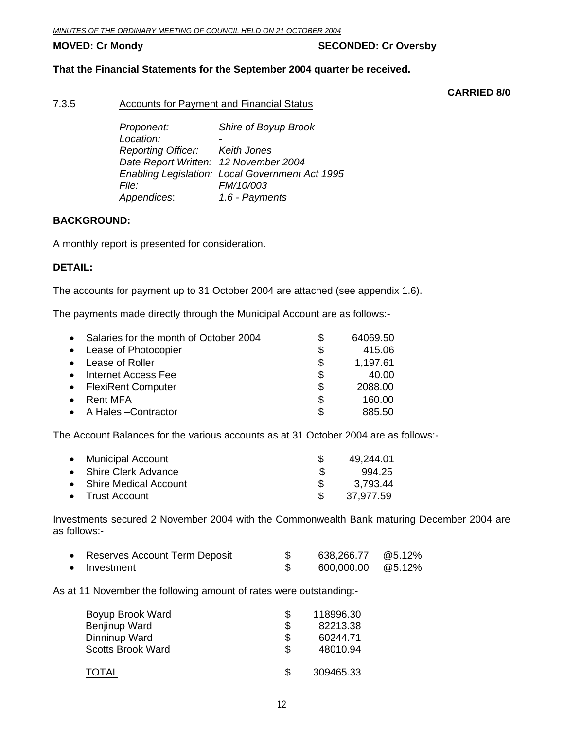#### **MOVED: Cr Mondy SECONDED: Cr Oversby**

#### **That the Financial Statements for the September 2004 quarter be received.**

 **CARRIED 8/0** 

#### 7.3.5 Accounts for Payment and Financial Status

*Proponent: Shire of Boyup Brook Location: - Reporting Officer: Keith Jones Date Report Written: 12 November 2004 Enabling Legislation: Local Government Act 1995 File: FM/10/003 Appendices*: *1.6 - Payments* 

#### **BACKGROUND:**

A monthly report is presented for consideration.

#### **DETAIL:**

The accounts for payment up to 31 October 2004 are attached (see appendix 1.6).

The payments made directly through the Municipal Account are as follows:-

| $\bullet$ | Salaries for the month of October 2004 |     | 64069.50 |
|-----------|----------------------------------------|-----|----------|
| $\bullet$ | Lease of Photocopier                   | \$  | 415.06   |
| $\bullet$ | Lease of Roller                        | \$  | 1,197.61 |
| $\bullet$ | Internet Access Fee                    | \$  | 40.00    |
| $\bullet$ | <b>FlexiRent Computer</b>              | \$  | 2088.00  |
| $\bullet$ | Rent MFA                               | \$  | 160.00   |
|           | • A Hales - Contractor                 | \$. | 885.50   |

The Account Balances for the various accounts as at 31 October 2004 are as follows:-

| • Municipal Account     |    | 49,244.01 |
|-------------------------|----|-----------|
| • Shire Clerk Advance   | £. | 994.25    |
| • Shire Medical Account |    | 3,793.44  |
| • Trust Account         |    | 37,977.59 |

Investments secured 2 November 2004 with the Commonwealth Bank maturing December 2004 are as follows:-

| Reserves Account Term Deposit | 638,266.77        | @5.12% |
|-------------------------------|-------------------|--------|
| Investment                    | 600,000.00 @5.12% |        |

As at 11 November the following amount of rates were outstanding:-

| Boyup Brook Ward         | \$ | 118996.30 |
|--------------------------|----|-----------|
| Benjinup Ward            | \$ | 82213.38  |
| Dinninup Ward            | \$ | 60244.71  |
| <b>Scotts Brook Ward</b> | S  | 48010.94  |
| TOTAL                    | ß. | 309465.33 |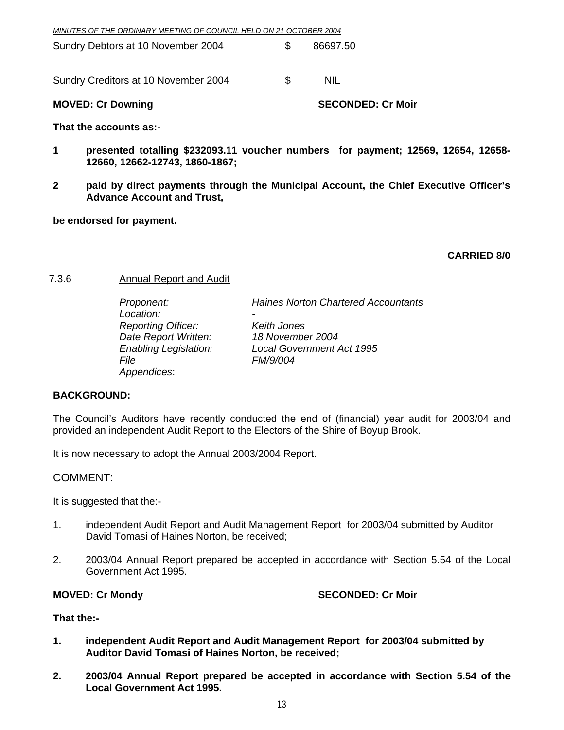| MINUTES OF THE ORDINARY MEETING OF COUNCIL HELD ON 21 OCTOBER 2004 |
|--------------------------------------------------------------------|
|--------------------------------------------------------------------|

| Sundry Debtors at 10 November 2004 |  | 86697.50 |
|------------------------------------|--|----------|
|------------------------------------|--|----------|

Sundry Creditors at 10 November 2004 \$

**MOVED: Cr Downing Case Conducts Account SECONDED: Cr Moir** 

**That the accounts as:-** 

- **1 presented totalling \$232093.11 voucher numbers for payment; 12569, 12654, 12658- 12660, 12662-12743, 1860-1867;**
- **2 paid by direct payments through the Municipal Account, the Chief Executive Officer's Advance Account and Trust,**

**be endorsed for payment.** 

**CARRIED 8/0** 

#### 7.3.6 Annual Report and Audit

Location:  *Reporting Officer: Keith Jones Date Report Written: 18 November 2004 File FM/9/004 Appendices*:

*Proponent: Haines Norton Chartered Accountants* 

 *Enabling Legislation: Local Government Act 1995* 

#### **BACKGROUND:**

The Council's Auditors have recently conducted the end of (financial) year audit for 2003/04 and provided an independent Audit Report to the Electors of the Shire of Boyup Brook.

It is now necessary to adopt the Annual 2003/2004 Report.

#### COMMENT:

It is suggested that the:-

- 1. independent Audit Report and Audit Management Report for 2003/04 submitted by Auditor David Tomasi of Haines Norton, be received;
- 2. 2003/04 Annual Report prepared be accepted in accordance with Section 5.54 of the Local Government Act 1995.

#### **MOVED: Cr Mondy SECONDED: Cr Moir**

#### **That the:-**

- **1. independent Audit Report and Audit Management Report for 2003/04 submitted by Auditor David Tomasi of Haines Norton, be received;**
- **2. 2003/04 Annual Report prepared be accepted in accordance with Section 5.54 of the Local Government Act 1995.**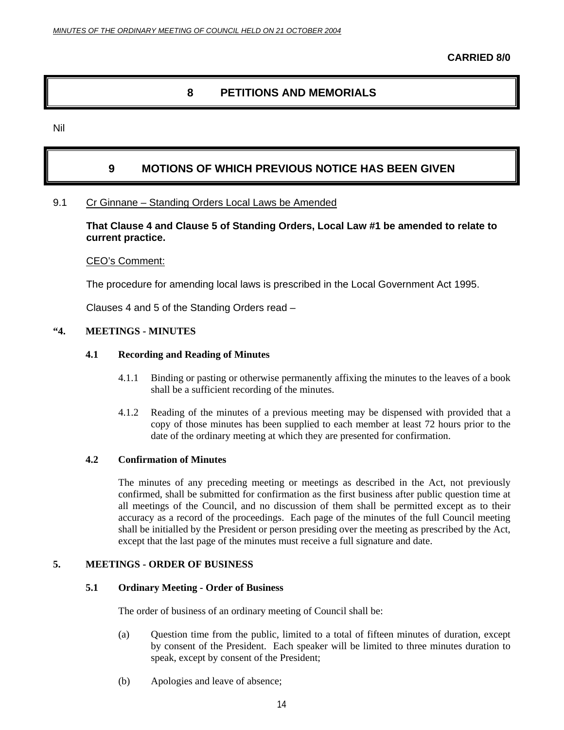#### **8 PETITIONS AND MEMORIALS**

Nil

### **9 MOTIONS OF WHICH PREVIOUS NOTICE HAS BEEN GIVEN**

#### 9.1 Cr Ginnane – Standing Orders Local Laws be Amended

**That Clause 4 and Clause 5 of Standing Orders, Local Law #1 be amended to relate to current practice.** 

#### CEO's Comment:

The procedure for amending local laws is prescribed in the Local Government Act 1995.

Clauses 4 and 5 of the Standing Orders read –

#### **"4. MEETINGS - MINUTES**

#### **4.1 Recording and Reading of Minutes**

- 4.1.1 Binding or pasting or otherwise permanently affixing the minutes to the leaves of a book shall be a sufficient recording of the minutes.
- 4.1.2 Reading of the minutes of a previous meeting may be dispensed with provided that a copy of those minutes has been supplied to each member at least 72 hours prior to the date of the ordinary meeting at which they are presented for confirmation.

#### **4.2 Confirmation of Minutes**

The minutes of any preceding meeting or meetings as described in the Act, not previously confirmed, shall be submitted for confirmation as the first business after public question time at all meetings of the Council, and no discussion of them shall be permitted except as to their accuracy as a record of the proceedings. Each page of the minutes of the full Council meeting shall be initialled by the President or person presiding over the meeting as prescribed by the Act, except that the last page of the minutes must receive a full signature and date.

#### **5. MEETINGS - ORDER OF BUSINESS**

#### **5.1 Ordinary Meeting - Order of Business**

The order of business of an ordinary meeting of Council shall be:

- (a) Question time from the public, limited to a total of fifteen minutes of duration, except by consent of the President. Each speaker will be limited to three minutes duration to speak, except by consent of the President;
- (b) Apologies and leave of absence;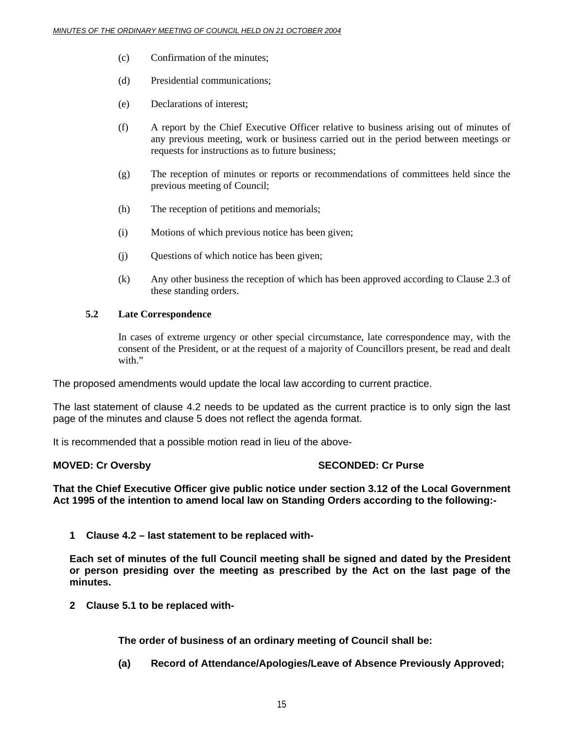- (c) Confirmation of the minutes;
- (d) Presidential communications;
- (e) Declarations of interest;
- (f) A report by the Chief Executive Officer relative to business arising out of minutes of any previous meeting, work or business carried out in the period between meetings or requests for instructions as to future business;
- (g) The reception of minutes or reports or recommendations of committees held since the previous meeting of Council;
- (h) The reception of petitions and memorials;
- (i) Motions of which previous notice has been given;
- (j) Questions of which notice has been given;
- (k) Any other business the reception of which has been approved according to Clause 2.3 of these standing orders.

#### **5.2 Late Correspondence**

In cases of extreme urgency or other special circumstance, late correspondence may, with the consent of the President, or at the request of a majority of Councillors present, be read and dealt with."

The proposed amendments would update the local law according to current practice.

The last statement of clause 4.2 needs to be updated as the current practice is to only sign the last page of the minutes and clause 5 does not reflect the agenda format.

It is recommended that a possible motion read in lieu of the above-

#### **MOVED: Cr Oversby SECONDED: Cr Purse 32 SECONDED: Cr Purse**

**That the Chief Executive Officer give public notice under section 3.12 of the Local Government Act 1995 of the intention to amend local law on Standing Orders according to the following:-** 

**1 Clause 4.2 – last statement to be replaced with-**

**Each set of minutes of the full Council meeting shall be signed and dated by the President or person presiding over the meeting as prescribed by the Act on the last page of the minutes.** 

**2 Clause 5.1 to be replaced with-**

**The order of business of an ordinary meeting of Council shall be:** 

**(a) Record of Attendance/Apologies/Leave of Absence Previously Approved;**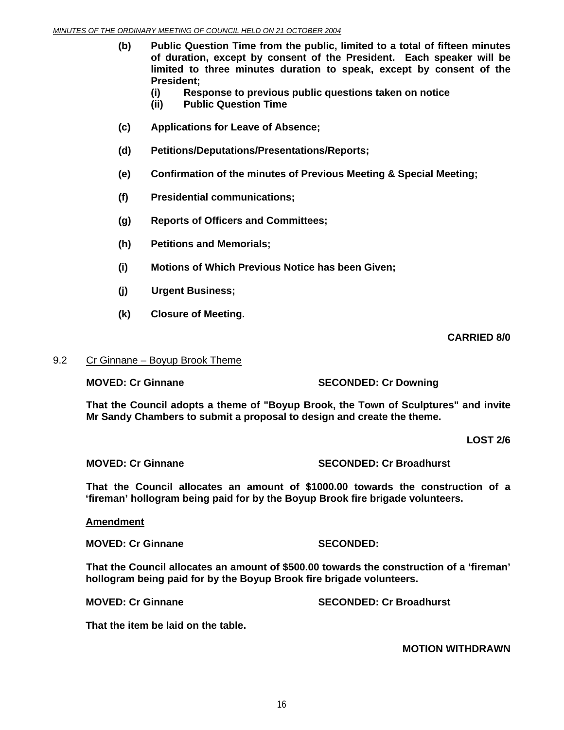- **(b) Public Question Time from the public, limited to a total of fifteen minutes of duration, except by consent of the President. Each speaker will be limited to three minutes duration to speak, except by consent of the President;** 
	- **(i) Response to previous public questions taken on notice**
	- **(ii) Public Question Time**
- **(c) Applications for Leave of Absence;**
- **(d) Petitions/Deputations/Presentations/Reports;**
- **(e) Confirmation of the minutes of Previous Meeting & Special Meeting;**
- **(f) Presidential communications;**
- **(g) Reports of Officers and Committees;**
- **(h) Petitions and Memorials;**
- **(i) Motions of Which Previous Notice has been Given;**
- **(j) Urgent Business;**
- **(k) Closure of Meeting.**

 **CARRIED 8/0** 

#### 9.2 Cr Ginnane – Boyup Brook Theme

**MOVED: Cr Ginnane SECONDED: Cr Downing** 

**That the Council adopts a theme of "Boyup Brook, the Town of Sculptures" and invite Mr Sandy Chambers to submit a proposal to design and create the theme.** 

**LOST 2/6** 

**MOVED: Cr Ginnane SECONDED: Cr Broadhurst** 

**That the Council allocates an amount of \$1000.00 towards the construction of a 'fireman' hollogram being paid for by the Boyup Brook fire brigade volunteers.** 

### **Amendment**

**MOVED: Cr Ginnane SECONDED:** 

**That the Council allocates an amount of \$500.00 towards the construction of a 'fireman' hollogram being paid for by the Boyup Brook fire brigade volunteers.** 

**MOVED: Cr Ginnane SECONDED: Cr Broadhurst** 

**That the item be laid on the table.** 

### **MOTION WITHDRAWN**